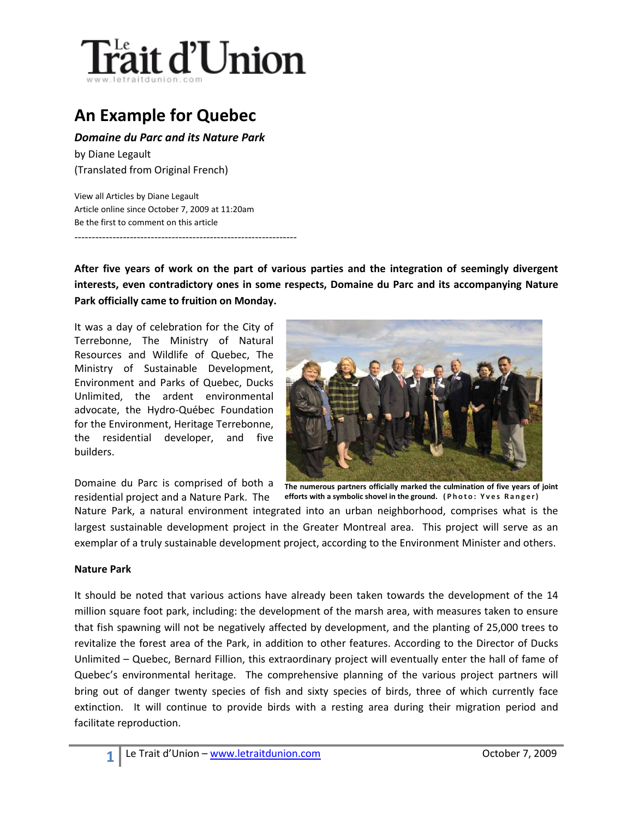

## **An Example for Quebec**

*Domaine du Parc and its Nature Park*

by Diane Legault (Translated from Original French)

View all Articles by Diane Legault Article online since October 7, 2009 at 11:20am Be the first to comment on this article

----------------------------------------------------------------

**After five years of work on the part of various parties and the integration of seemingly divergent interests, even contradictory ones in some respects, Domaine du Parc and its accompanying Nature Park officially came to fruition on Monday.**

It was a day of celebration for the City of Terrebonne, The Ministry of Natural Resources and Wildlife of Quebec, The Ministry of Sustainable Development, Environment and Parks of Quebec, Ducks Unlimited, the ardent environmental advocate, the Hydro-Québec Foundation for the Environment, Heritage Terrebonne, the residential developer, and five builders.



Domaine du Parc is comprised of both a residential project and a Nature Park. The

**The numerous partners officially marked the culmination of five years of joint efforts with a symbolic shovel in the ground. (Photo : Yves Ranger)**

Nature Park, a natural environment integrated into an urban neighborhood, comprises what is the largest sustainable development project in the Greater Montreal area. This project will serve as an exemplar of a truly sustainable development project, according to the Environment Minister and others.

## **Nature Park**

It should be noted that various actions have already been taken towards the development of the 14 million square foot park, including: the development of the marsh area, with measures taken to ensure that fish spawning will not be negatively affected by development, and the planting of 25,000 trees to revitalize the forest area of the Park, in addition to other features. According to the Director of Ducks Unlimited – Quebec, Bernard Fillion, this extraordinary project will eventually enter the hall of fame of Quebec's environmental heritage. The comprehensive planning of the various project partners will bring out of danger twenty species of fish and sixty species of birds, three of which currently face extinction. It will continue to provide birds with a resting area during their migration period and facilitate reproduction.